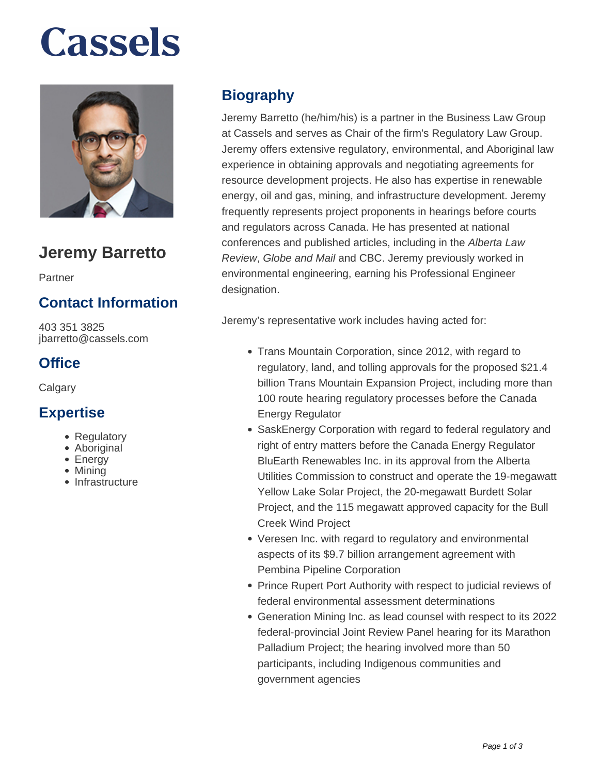# **Cassels**



# **Jeremy Barretto**

Partner

### **Contact Information**

403 351 3825 jbarretto@cassels.com

#### **Office**

**Calgary** 

#### **Expertise**

- Regulatory
- Aboriginal
- Energy
- Mining
- Infrastructure

## **Biography**

Jeremy Barretto (he/him/his) is a partner in the Business Law Group at Cassels and serves as Chair of the firm's Regulatory Law Group. Jeremy offers extensive regulatory, environmental, and Aboriginal law experience in obtaining approvals and negotiating agreements for resource development projects. He also has expertise in renewable energy, oil and gas, mining, and infrastructure development. Jeremy frequently represents project proponents in hearings before courts and regulators across Canada. He has presented at national conferences and published articles, including in the Alberta Law Review, Globe and Mail and CBC. Jeremy previously worked in environmental engineering, earning his Professional Engineer designation.

Jeremy's representative work includes having acted for:

- Trans Mountain Corporation, since 2012, with regard to regulatory, land, and tolling approvals for the proposed \$21.4 billion Trans Mountain Expansion Project, including more than 100 route hearing regulatory processes before the Canada Energy Regulator
- SaskEnergy Corporation with regard to federal regulatory and right of entry matters before the Canada Energy Regulator BluEarth Renewables Inc. in its approval from the Alberta Utilities Commission to construct and operate the 19-megawatt Yellow Lake Solar Project, the 20-megawatt Burdett Solar Project, and the 115 megawatt approved capacity for the Bull Creek Wind Project
- Veresen Inc. with regard to regulatory and environmental aspects of its \$9.7 billion arrangement agreement with Pembina Pipeline Corporation
- Prince Rupert Port Authority with respect to judicial reviews of federal environmental assessment determinations
- Generation Mining Inc. as lead counsel with respect to its 2022 federal-provincial Joint Review Panel hearing for its Marathon Palladium Project; the hearing involved more than 50 participants, including Indigenous communities and government agencies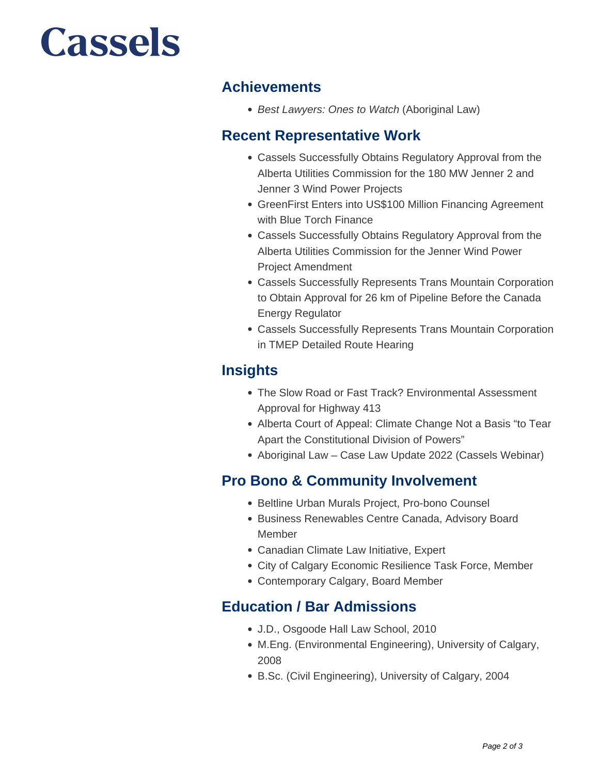# **Cassels**

#### **Achievements**

• Best Lawyers: Ones to Watch (Aboriginal Law)

#### **Recent Representative Work**

- Cassels Successfully Obtains Regulatory Approval from the Alberta Utilities Commission for the 180 MW Jenner 2 and Jenner 3 Wind Power Projects
- GreenFirst Enters into US\$100 Million Financing Agreement with Blue Torch Finance
- Cassels Successfully Obtains Regulatory Approval from the Alberta Utilities Commission for the Jenner Wind Power Project Amendment
- Cassels Successfully Represents Trans Mountain Corporation to Obtain Approval for 26 km of Pipeline Before the Canada Energy Regulator
- Cassels Successfully Represents Trans Mountain Corporation in TMEP Detailed Route Hearing

### **Insights**

- The Slow Road or Fast Track? Environmental Assessment Approval for Highway 413
- Alberta Court of Appeal: Climate Change Not a Basis "to Tear Apart the Constitutional Division of Powers"
- Aboriginal Law Case Law Update 2022 (Cassels Webinar)

### **Pro Bono & Community Involvement**

- Beltline Urban Murals Project, Pro-bono Counsel
- **Business Renewables Centre Canada, Advisory Board** Member
- Canadian Climate Law Initiative, Expert
- City of Calgary Economic Resilience Task Force, Member
- Contemporary Calgary, Board Member

#### **Education / Bar Admissions**

- J.D., Osgoode Hall Law School, 2010
- M.Eng. (Environmental Engineering), University of Calgary, 2008
- B.Sc. (Civil Engineering), University of Calgary, 2004